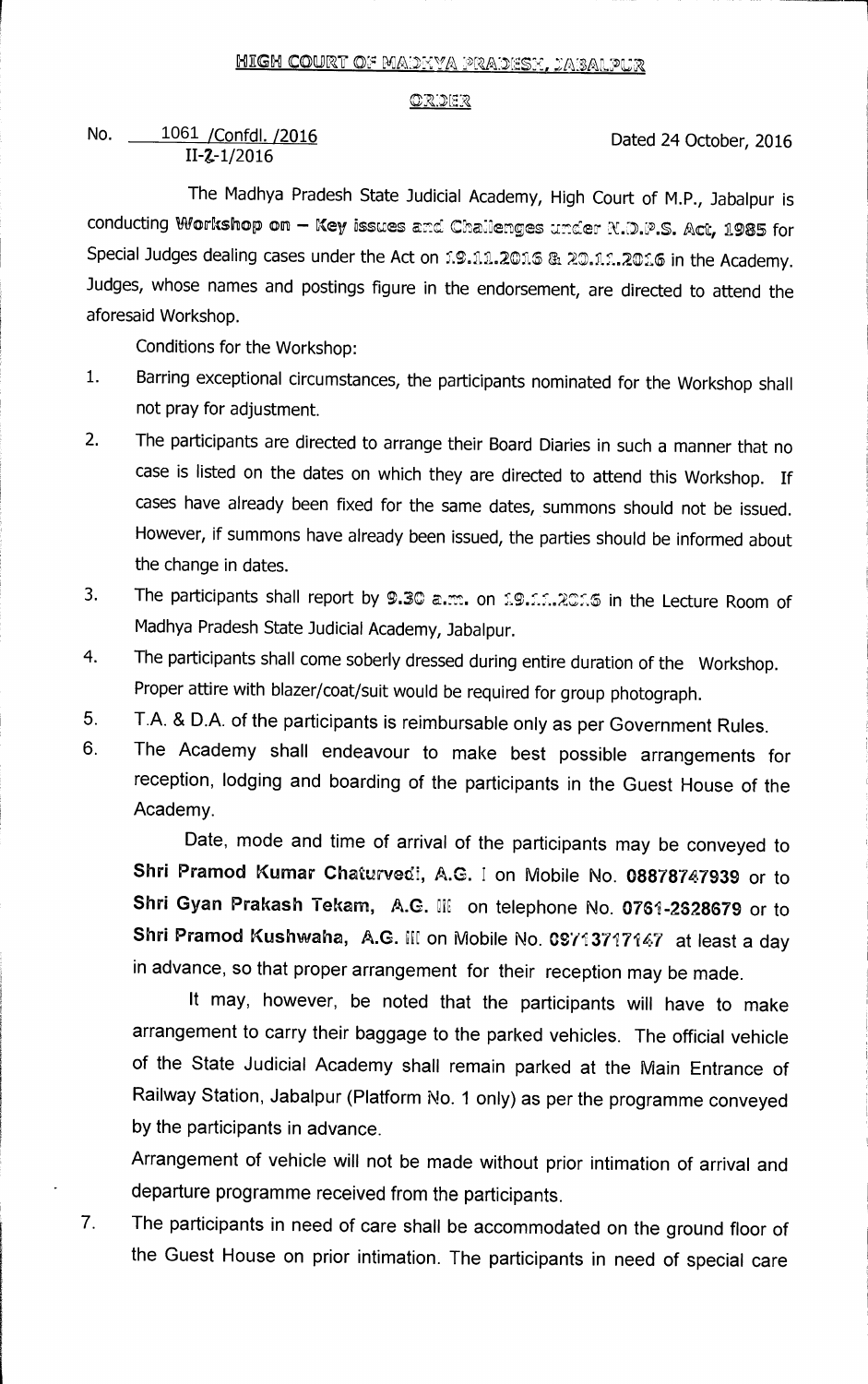## **CR:2E.1**

## **No.** \_o **/Confdl. /2016**  1061**II-Z-1/2016**

**Dated 24 October, 2016** 

**The Madhya Pradesh State Judicial Academy, High Court of M.P., Jabalpur is**  conducting Workshop on - Key issues and Chailenges under R.D.P.S. Act, 1985 for **Special Judges dealing cases under the Act on f.9.11.2016 & 20.11.2016 in the Academy. Judges, whose names and postings figure in the endorsement, are directed to attend the aforesaid Workshop.** 

**Conditions for the Workshop:** 

- **1. Barring exceptional circumstances, the participants nominated for the Workshop shall not pray for adjustment.**
- **2. The participants are directed to arrange their Board Diaries in such a manner that no case is listed on the dates on which they are directed to attend this Workshop. If cases have already been fixed for the same dates, summons should not be issued. However, if summons have already been issued, the parties should be informed about the change in dates.**
- **3.** The participants shall report by 9.30 a.m. on 19.11.2016 in the Lecture Room of **Madhya Pradesh State Judicial Academy, Jabalpur.**
- **4. The participants shall come soberly dressed during entire duration of the Workshop. Proper attire with blazer/coat/suit would be required for group photograph.**
- **5. T.A. & D.A. of the participants is reimbursable only as per Government Rules.**
- **6. The Academy shall endeavour to make best possible arrangements for reception, lodging and boarding of the participants in the Guest House of the Academy.**

**Date, mode and time of arrival of the participants may be conveyed to Shri Pramod Kumar Chaturvedf, A.G. I on Mobile No. 08878747939 or to**  Shri Gyan Prakash Tekam, A.G. III on telephone No. 0761-2628679 or to **Shri Pramod Kushwaha, A.G. H: on Mobile No. 097 3717147 at least a day in advance, so that proper arrangement for their reception may be made.** 

**It may, however, be noted that the participants will have to make arrangement to carry their baggage to the parked vehicles. The official vehicle of the State Judicial Academy shall remain parked at the Main Entrance of Railway Station, Jabalpur (Platform No. 1 only) as per the programme conveyed by the participants in advance.** 

**Arrangement of vehicle will not be made without prior intimation of arrival and departure programme received from the participants.** 

**7 The participants in need of care shall be accommodated on the ground floor of the Guest House on prior intimation. The participants in need of special care**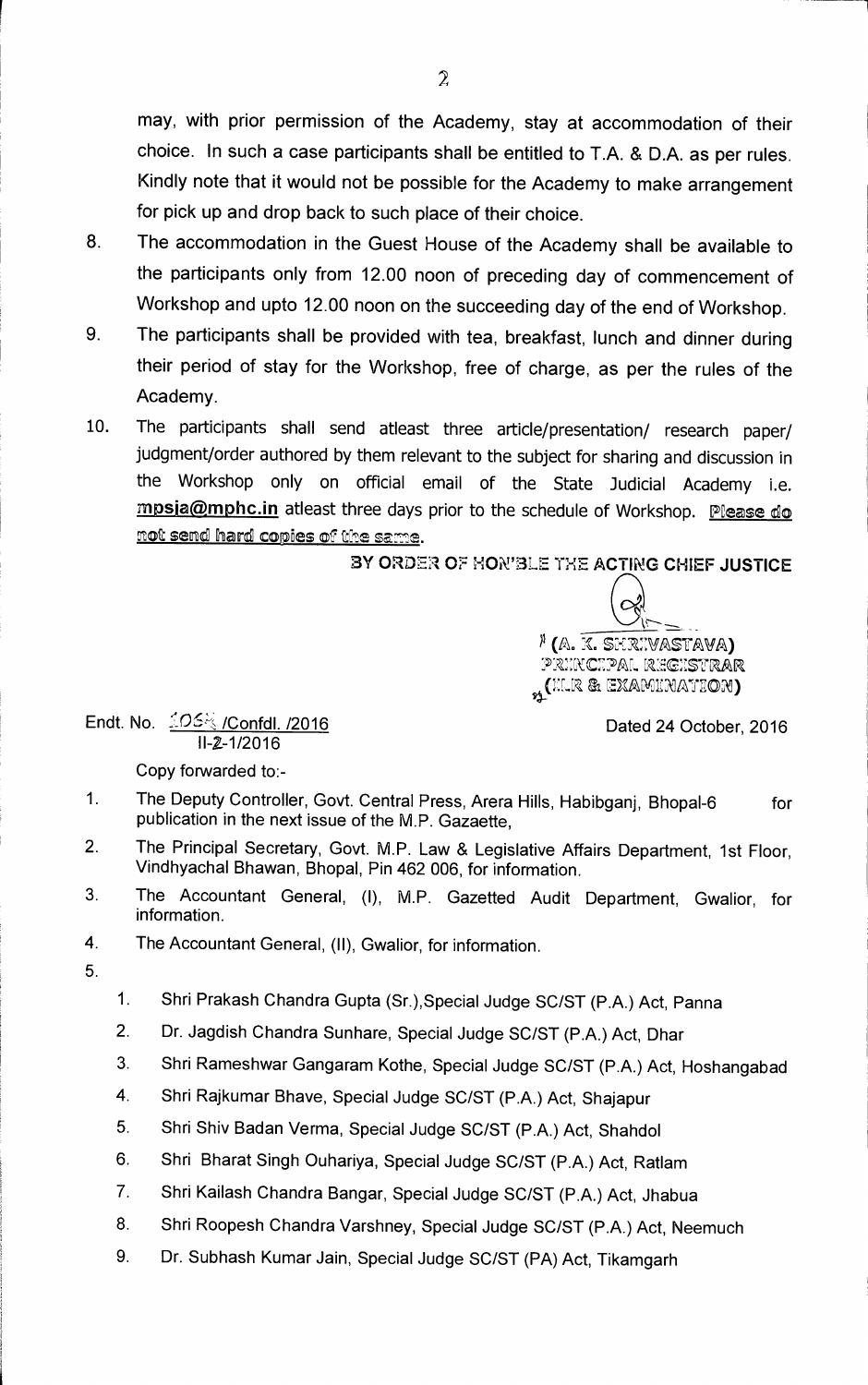**may, with prior permission of the Academy, stay at accommodation of their choice. In such a case participants shall be entitled to T.A. & D.A. as per rules. Kindly note that it would not be possible for the Academy to make arrangement for pick up and drop back to such place of their choice.** 

- **8. The accommodation in the Guest House of the Academy shall be available to the participants only from 12.00 noon of preceding day of commencement of Workshop and upto 12.00 noon on the succeeding day of the end of Workshop.**
- **9. The participants shall be provided with tea, breakfast, lunch and dinner during their period of stay for the Workshop, free of charge, as per the rules of the Academy.**
- **10. The participants shall send atleast three article/presentation/ research paper/ judgment/order authored by them relevant to the subject for sharing and discussion in the Workshop only on official email of the State Judicial Academy i.e. mpsia@mphc.in** atleast three days prior to the schedule of Workshop. Please do not send hard copies of the same.

BY ORDER OF HON'BLE THE ACTING CHIEF JUSTICE

<sup>)</sup> (A. K. Shrivastava) principal registrar  $\mathcal{H}$ (HLR & EXAMINATION)

**Endt. No. /Confdl. /2016** Dated **24 October, 2016 II-2-1/2016** 

**Copy forwarded to:-** 

- **1. The Deputy Controller, Govt. Central Press, Arera Hills, Habibganj, Bhopal-6 for publication in the next issue of the M.P. Gazaette,**
- **2. The Principal Secretary, Govt. M.P. Law & Legislative Affairs Department, 1st Floor, Vindhyachal Bhawan, Bhopal, Pin 462 006, for information.**
- **3. The Accountant General,** (I), M.P. **Gazetted Audit Department, Gwalior, for information.**
- **4. The Accountant General,** (II), **Gwalior, for information.**
- **5.**
- **1. Shri Prakash Chandra Gupta (Sr.),Special Judge SC/ST (P.A.) Act, Panna**
- **2. Dr. Jagdish Chandra Sunhare, Special Judge SC/ST (P.A.) Act, Dhar**
- **3. Shri Rameshwar Gangaram Kothe, Special Judge SC/ST (P.A.) Act, Hoshangabad**
- **4. Shri Rajkumar Bhave, Special Judge SC/ST (P.A.) Act, Shajapur**
- **5. Shri Shiv Badan Verma, Special Judge SC/ST (P.A.) Act, Shahdol**
- **6. Shri Bharat Singh Ouhariya, Special Judge SC/ST (P.A.) Act, Ratlam**
- **7. Shri Kailash Chandra Bangar, Special Judge SC/ST (P.A.) Act, Jhabua**
- **8. Shri Roopesh Chandra Varshney, Special Judge SC/ST (P.A.) Act, Neemuch**
- **9. Dr. Subhash Kumar Jain, Special Judge SC/ST (PA) Act, Tikamgarh**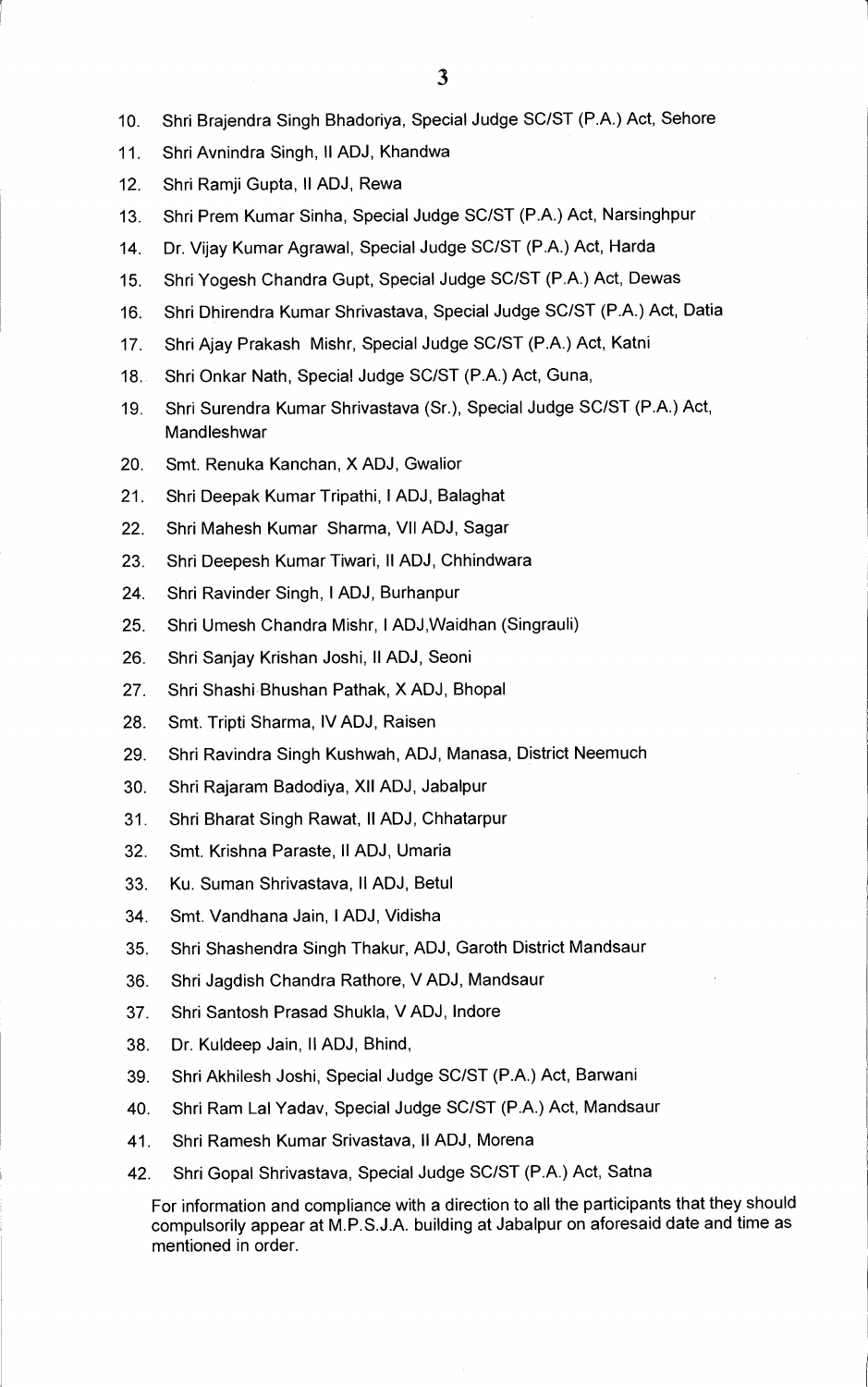- **10. Shri Brajendra Singh Bhadoriya, Special Judge SC/ST (P.A.) Act, Sehore**
- **11. Shri Avnindra Singh, II ADJ, Khandwa**
- **12. Shri Ramji Gupta, II ADJ, Rewa**
- **13. Shri Prem Kumar Sinha, Special Judge SC/ST (P.A.) Act, Narsinghpur**
- **14. Dr. Vijay Kumar Agrawal, Special Judge SC/ST (P.A.) Act, Harda**
- **15. Shri Yogesh Chandra Gupt, Special Judge SC/ST (P.A.) Act, Dewas**
- **16. Shri Dhirendra Kumar Shrivastava, Special Judge SC/ST (P.A.) Act, Datia**
- **17. Shri Ajay Prakash Mishr, Special Judge SC/ST (P.A.) Act, Katni**
- **18. Shri Onkar Nath, Special Judge SC/ST (P.A.) Act, Guna,**
- **19. Shri Surendra Kumar Shrivastava (Sr.), Special Judge SC/ST (P.A.) Act, Mandleshwar**
- **20. Smt. Renuka Kanchan, X ADJ, Gwalior**
- **21. Shri Deepak Kumar Tripathi, I ADJ, Balaghat**
- **22. Shri Mahesh Kumar Sharma, VII ADJ, Sagar**
- **23. Shri Deepesh Kumar Tiwari, II ADJ, Chhindwara**
- **24. Shri Ravinder Singh, I ADJ, Burhanpur**
- **25. Shri Umesh Chandra Mishr, I ADJ,Waidhan (Singrauli)**
- **26. Shri Sanjay Krishan Joshi, II ADJ, Seoni**
- **27. Shri Shashi Bhushan Pathak, X ADJ, Bhopal**
- **28. Smt. Tripti Sharma, IV ADJ, Raisen**
- **29. Shri Ravindra Singh Kushwah, ADJ, Manasa, District Neemuch**
- **30. Shri Rajaram Badodiya, XII ADJ, Jabalpur**
- **31. Shri Bharat Singh Rawat, II ADJ, Chhatarpur**
- **32. Smt. Krishna Paraste, II ADJ, Umaria**
- **33. Ku. Suman Shrivastava, II ADJ, Betul**
- **34. Smt. Vandhana Jain, I ADJ, Vidisha**
- **35. Shri Shashendra Singh Thakur, ADJ, Garoth District Mandsaur**
- **36. Shri Jagdish Chandra Rathore, V ADJ, Mandsaur**
- **37. Shri Santosh Prasad Shukla, V ADJ, Indore**
- **38. Dr. Kuldeep Jain, ll ADJ, Bhind,**
- **39. Shri Akhilesh Joshi, Special Judge SC/ST (P.A.) Act, Barwani**
- **40. Shri Ram Lal Yadav, Special Judge SC/ST (P.A.) Act, Mandsaur**
- **41. Shri Ramesh Kumar Srivastava, II ADJ, Morena**
- **42. Shri Gopal Shrivastava, Special Judge SC/ST (P.A.) Act, Satna**

**For information and compliance with a direction to all the participants that they should compulsorily appear at M.P.S.J.A. building at Jabalpur on aforesaid date and time as mentioned in order.**